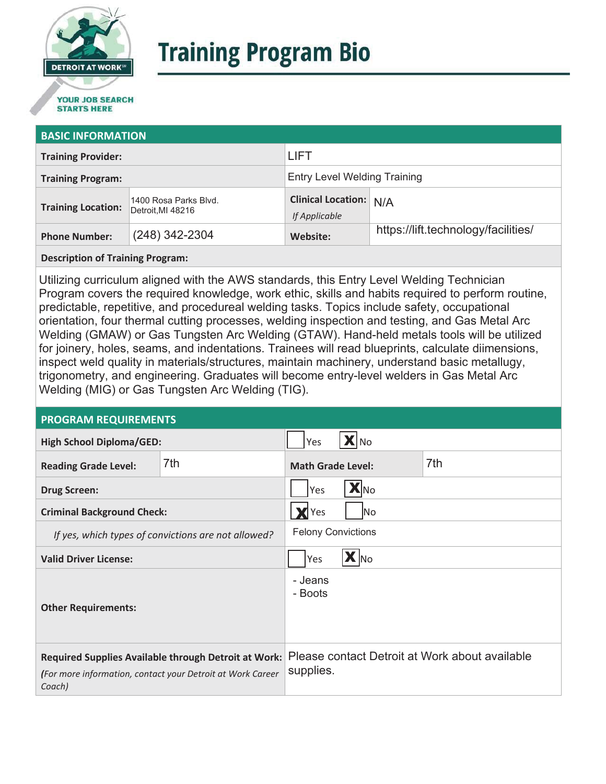

# **Training Program Bio**

## **STARTS HERE**

#### **BASIC INFORMATION**

| <b>Training Provider:</b> |                                            | <b>LIFT</b>                                    |                                     |  |
|---------------------------|--------------------------------------------|------------------------------------------------|-------------------------------------|--|
| <b>Training Program:</b>  |                                            | <b>Entry Level Welding Training</b>            |                                     |  |
| <b>Training Location:</b> | 1400 Rosa Parks Blvd.<br>Detroit, MI 48216 | <b>Clinical Location: N/A</b><br>If Applicable |                                     |  |
| <b>Phone Number:</b>      | $(248)$ 342-2304                           | Website:                                       | https://lift.technology/facilities/ |  |

**Description of Training Program:** 

Utilizing curriculum aligned with the AWS standards, this Entry Level Welding Technician Program covers the required knowledge, work ethic, skills and habits required to perform routine, predictable, repetitive, and procedureal welding tasks. Topics include safety, occupational orientation, four thermal cutting processes, welding inspection and testing, and Gas Metal Arc Welding (GMAW) or Gas Tungsten Arc Welding (GTAW). Hand-held metals tools will be utilized for joinery, holes, seams, and indentations. Trainees will read blueprints, calculate diimensions, inspect weld quality in materials/structures, maintain machinery, understand basic metallugy, trigonometry, and engineering. Graduates will become entry-level welders in Gas Metal Arc Welding (MIG) or Gas Tungsten Arc Welding (TIG).

#### **PROGRAM REQUIREMENTS**

| <b>High School Diploma/GED:</b>                                                                                              |     | Yes<br><b>A</b> INo                                         |  |     |
|------------------------------------------------------------------------------------------------------------------------------|-----|-------------------------------------------------------------|--|-----|
| <b>Reading Grade Level:</b>                                                                                                  | 7th | <b>Math Grade Level:</b>                                    |  | 7th |
| <b>Drug Screen:</b>                                                                                                          |     | <b>X</b> No<br>Yes                                          |  |     |
| <b>Criminal Background Check:</b>                                                                                            |     | Yes<br>lNo.                                                 |  |     |
| If yes, which types of convictions are not allowed?                                                                          |     | <b>Felony Convictions</b>                                   |  |     |
| <b>Valid Driver License:</b>                                                                                                 |     | X No<br>Yes                                                 |  |     |
| <b>Other Requirements:</b>                                                                                                   |     | - Jeans<br>- Boots                                          |  |     |
| Required Supplies Available through Detroit at Work:<br>(For more information, contact your Detroit at Work Career<br>Coach) |     | Please contact Detroit at Work about available<br>supplies. |  |     |